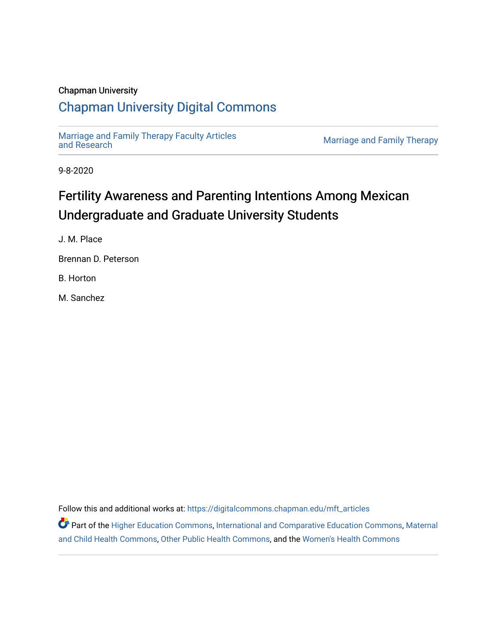### Chapman University

## [Chapman University Digital Commons](https://digitalcommons.chapman.edu/)

[Marriage and Family Therapy Faculty Articles](https://digitalcommons.chapman.edu/mft_articles)

Marriage and Family Therapy

9-8-2020

# Fertility Awareness and Parenting Intentions Among Mexican Undergraduate and Graduate University Students

J. M. Place

Brennan D. Peterson

B. Horton

M. Sanchez

Follow this and additional works at: [https://digitalcommons.chapman.edu/mft\\_articles](https://digitalcommons.chapman.edu/mft_articles?utm_source=digitalcommons.chapman.edu%2Fmft_articles%2F13&utm_medium=PDF&utm_campaign=PDFCoverPages) 

Part of the [Higher Education Commons,](http://network.bepress.com/hgg/discipline/1245?utm_source=digitalcommons.chapman.edu%2Fmft_articles%2F13&utm_medium=PDF&utm_campaign=PDFCoverPages) [International and Comparative Education Commons,](http://network.bepress.com/hgg/discipline/797?utm_source=digitalcommons.chapman.edu%2Fmft_articles%2F13&utm_medium=PDF&utm_campaign=PDFCoverPages) [Maternal](http://network.bepress.com/hgg/discipline/745?utm_source=digitalcommons.chapman.edu%2Fmft_articles%2F13&utm_medium=PDF&utm_campaign=PDFCoverPages)  [and Child Health Commons,](http://network.bepress.com/hgg/discipline/745?utm_source=digitalcommons.chapman.edu%2Fmft_articles%2F13&utm_medium=PDF&utm_campaign=PDFCoverPages) [Other Public Health Commons,](http://network.bepress.com/hgg/discipline/748?utm_source=digitalcommons.chapman.edu%2Fmft_articles%2F13&utm_medium=PDF&utm_campaign=PDFCoverPages) and the [Women's Health Commons](http://network.bepress.com/hgg/discipline/1241?utm_source=digitalcommons.chapman.edu%2Fmft_articles%2F13&utm_medium=PDF&utm_campaign=PDFCoverPages)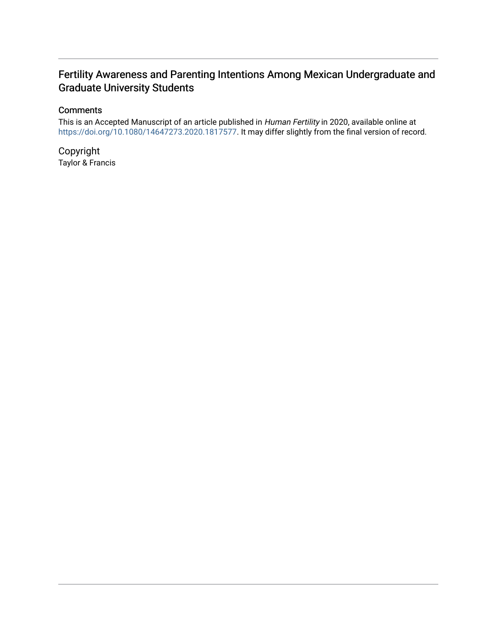## Fertility Awareness and Parenting Intentions Among Mexican Undergraduate and Graduate University Students

## **Comments**

This is an Accepted Manuscript of an article published in Human Fertility in 2020, available online at [https://doi.org/10.1080/14647273.2020.1817577.](https://doi.org/10.1080/14647273.2020.1817577) It may differ slightly from the final version of record.

Copyright Taylor & Francis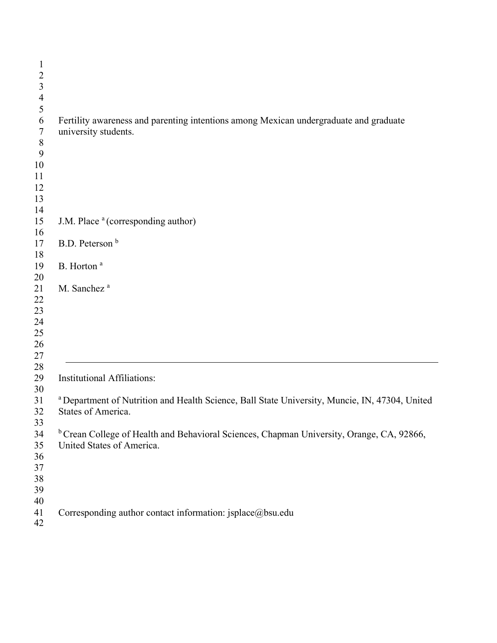| $\mathbf{1}$             |                                                                                                      |
|--------------------------|------------------------------------------------------------------------------------------------------|
| $\overline{2}$           |                                                                                                      |
| $\overline{\mathbf{3}}$  |                                                                                                      |
| $\overline{\mathcal{L}}$ |                                                                                                      |
| 5                        |                                                                                                      |
| 6                        | Fertility awareness and parenting intentions among Mexican undergraduate and graduate                |
| $\boldsymbol{7}$         | university students.                                                                                 |
| $\,8\,$                  |                                                                                                      |
| 9                        |                                                                                                      |
| 10                       |                                                                                                      |
| 11                       |                                                                                                      |
| 12                       |                                                                                                      |
| 13                       |                                                                                                      |
| 14                       |                                                                                                      |
| 15                       | J.M. Place <sup>a</sup> (corresponding author)                                                       |
| 16                       |                                                                                                      |
| 17                       | B.D. Peterson <sup>b</sup>                                                                           |
| 18                       |                                                                                                      |
| 19                       | B. Horton <sup>a</sup>                                                                               |
| 20                       |                                                                                                      |
| 21                       | M. Sanchez <sup>a</sup>                                                                              |
| 22                       |                                                                                                      |
| 23                       |                                                                                                      |
| 24                       |                                                                                                      |
|                          |                                                                                                      |
| 25                       |                                                                                                      |
| 26                       |                                                                                                      |
| $27\,$                   |                                                                                                      |
| $28\,$                   |                                                                                                      |
| 29                       | <b>Institutional Affiliations:</b>                                                                   |
| 30                       |                                                                                                      |
| 31                       | a Department of Nutrition and Health Science, Ball State University, Muncie, IN, 47304, United       |
| 32                       | States of America.                                                                                   |
| 33                       |                                                                                                      |
| 34                       | <sup>b</sup> Crean College of Health and Behavioral Sciences, Chapman University, Orange, CA, 92866, |
| 35                       | United States of America.                                                                            |
| 36                       |                                                                                                      |
| $37\,$                   |                                                                                                      |
| 38                       |                                                                                                      |
| 39                       |                                                                                                      |
| 40                       |                                                                                                      |
| 41                       | Corresponding author contact information: jsplace@bsu.edu                                            |
| 42                       |                                                                                                      |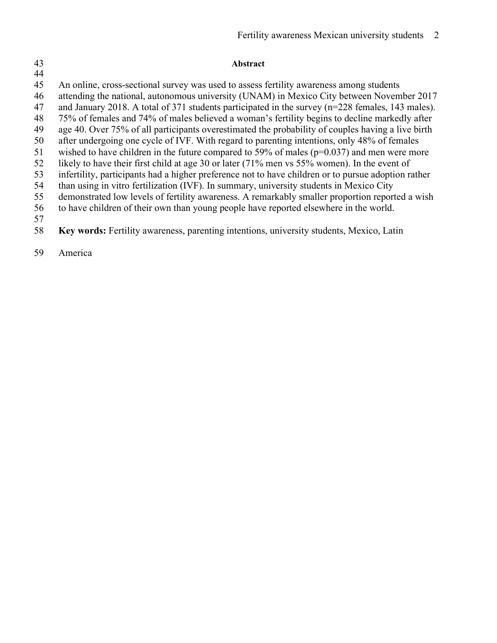# 

### **Abstract**

An online, cross-sectional survey was used to assess fertility awareness among students

attending the national, autonomous university (UNAM) in Mexico City between November 2017

and January 2018. A total of 371 students participated in the survey (n=228 females, 143 males).

75% of females and 74% of males believed a woman's fertility begins to decline markedly after

age 40. Over 75% of all participants overestimated the probability of couples having a live birth

 after undergoing one cycle of IVF. With regard to parenting intentions, only 48% of females wished to have children in the future compared to 59% of males (p=0.037) and men were more

likely to have their first child at age 30 or later (71% men vs 55% women). In the event of

infertility, participants had a higher preference not to have children or to pursue adoption rather

than using in vitro fertilization (IVF). In summary, university students in Mexico City

demonstrated low levels of fertility awareness. A remarkably smaller proportion reported a wish

to have children of their own than young people have reported elsewhere in the world.

**Key words:** Fertility awareness, parenting intentions, university students, Mexico, Latin

America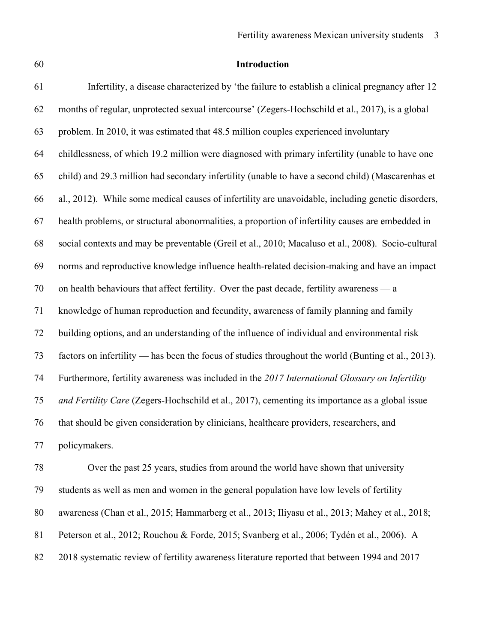| v<br>۰.<br>۰,<br>۰,     |        |        |
|-------------------------|--------|--------|
| ۰.<br>×<br>۰.<br>×<br>v | ×<br>× | I<br>۹ |

## **Introduction**

| 61 | Infertility, a disease characterized by 'the failure to establish a clinical pregnancy after 12     |
|----|-----------------------------------------------------------------------------------------------------|
| 62 | months of regular, unprotected sexual intercourse' (Zegers-Hochschild et al., 2017), is a global    |
| 63 | problem. In 2010, it was estimated that 48.5 million couples experienced involuntary                |
| 64 | childlessness, of which 19.2 million were diagnosed with primary infertility (unable to have one    |
| 65 | child) and 29.3 million had secondary infertility (unable to have a second child) (Mascarenhas et   |
| 66 | al., 2012). While some medical causes of infertility are unavoidable, including genetic disorders,  |
| 67 | health problems, or structural abonormalities, a proportion of infertility causes are embedded in   |
| 68 | social contexts and may be preventable (Greil et al., 2010; Macaluso et al., 2008). Socio-cultural  |
| 69 | norms and reproductive knowledge influence health-related decision-making and have an impact        |
| 70 | on health behaviours that affect fertility. Over the past decade, fertility awareness — a           |
| 71 | knowledge of human reproduction and fecundity, awareness of family planning and family              |
| 72 | building options, and an understanding of the influence of individual and environmental risk        |
| 73 | factors on infertility — has been the focus of studies throughout the world (Bunting et al., 2013). |
| 74 | Furthermore, fertility awareness was included in the 2017 International Glossary on Infertility     |
| 75 | and Fertility Care (Zegers-Hochschild et al., 2017), cementing its importance as a global issue     |
| 76 | that should be given consideration by clinicians, healthcare providers, researchers, and            |
| 77 | policymakers.                                                                                       |
|    |                                                                                                     |

 Over the past 25 years, studies from around the world have shown that university students as well as men and women in the general population have low levels of fertility awareness (Chan et al., 2015; Hammarberg et al., 2013; Iliyasu et al., 2013; Mahey et al., 2018; Peterson et al., 2012; Rouchou & Forde, 2015; Svanberg et al., 2006; Tydén et al., 2006). A 2018 systematic review of fertility awareness literature reported that between 1994 and 2017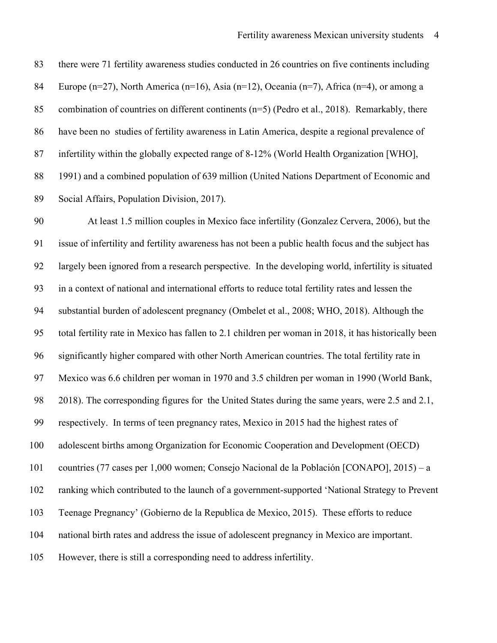there were 71 fertility awareness studies conducted in 26 countries on five continents including Europe (n=27), North America (n=16), Asia (n=12), Oceania (n=7), Africa (n=4), or among a 85 combination of countries on different continents  $(n=5)$  (Pedro et al., 2018). Remarkably, there have been no studies of fertility awareness in Latin America, despite a regional prevalence of infertility within the globally expected range of 8-12% (World Health Organization [WHO], 1991) and a combined population of 639 million (United Nations Department of Economic and Social Affairs, Population Division, 2017).

 At least 1.5 million couples in Mexico face infertility (Gonzalez Cervera, 2006), but the issue of infertility and fertility awareness has not been a public health focus and the subject has largely been ignored from a research perspective. In the developing world, infertility is situated in a context of national and international efforts to reduce total fertility rates and lessen the substantial burden of adolescent pregnancy (Ombelet et al., 2008; WHO, 2018). Although the total fertility rate in Mexico has fallen to 2.1 children per woman in 2018, it has historically been significantly higher compared with other North American countries. The total fertility rate in Mexico was 6.6 children per woman in 1970 and 3.5 children per woman in 1990 (World Bank, 2018). The corresponding figures for the United States during the same years, were 2.5 and 2.1, respectively. In terms of teen pregnancy rates, Mexico in 2015 had the highest rates of adolescent births among Organization for Economic Cooperation and Development (OECD) countries (77 cases per 1,000 women; Consejo Nacional de la Población [CONAPO], 2015) – a ranking which contributed to the launch of a government-supported 'National Strategy to Prevent Teenage Pregnancy' (Gobierno de la Republica de Mexico, 2015). These efforts to reduce national birth rates and address the issue of adolescent pregnancy in Mexico are important. However, there is still a corresponding need to address infertility.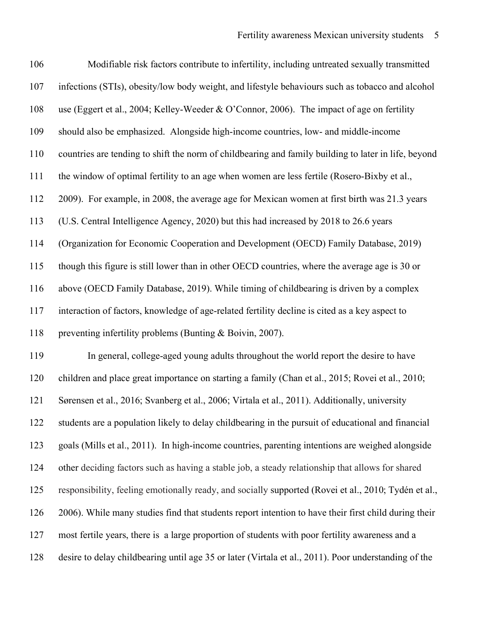| 106 | Modifiable risk factors contribute to infertility, including untreated sexually transmitted          |
|-----|------------------------------------------------------------------------------------------------------|
| 107 | infections (STIs), obesity/low body weight, and lifestyle behaviours such as tobacco and alcohol     |
| 108 | use (Eggert et al., 2004; Kelley-Weeder & O'Connor, 2006). The impact of age on fertility            |
| 109 | should also be emphasized. Alongside high-income countries, low- and middle-income                   |
| 110 | countries are tending to shift the norm of childbearing and family building to later in life, beyond |
| 111 | the window of optimal fertility to an age when women are less fertile (Rosero-Bixby et al.,          |
| 112 | 2009). For example, in 2008, the average age for Mexican women at first birth was 21.3 years         |
| 113 | (U.S. Central Intelligence Agency, 2020) but this had increased by 2018 to 26.6 years                |
| 114 | (Organization for Economic Cooperation and Development (OECD) Family Database, 2019)                 |
| 115 | though this figure is still lower than in other OECD countries, where the average age is 30 or       |
| 116 | above (OECD Family Database, 2019). While timing of childbearing is driven by a complex              |
| 117 | interaction of factors, knowledge of age-related fertility decline is cited as a key aspect to       |
| 118 | preventing infertility problems (Bunting & Boivin, 2007).                                            |
| 119 | In general, college-aged young adults throughout the world report the desire to have                 |
| 120 | children and place great importance on starting a family (Chan et al., 2015; Rovei et al., 2010;     |
| 121 | Sørensen et al., 2016; Svanberg et al., 2006; Virtala et al., 2011). Additionally, university        |
| 122 | students are a population likely to delay childbearing in the pursuit of educational and financial   |
| 123 | goals (Mills et al., 2011). In high-income countries, parenting intentions are weighed alongside     |
| 124 | other deciding factors such as having a stable job, a steady relationship that allows for shared     |
| 125 | responsibility, feeling emotionally ready, and socially supported (Rovei et al., 2010; Tydén et al., |
| 126 | 2006). While many studies find that students report intention to have their first child during their |
| 127 | most fertile years, there is a large proportion of students with poor fertility awareness and a      |
| 128 | desire to delay childbearing until age 35 or later (Virtala et al., 2011). Poor understanding of the |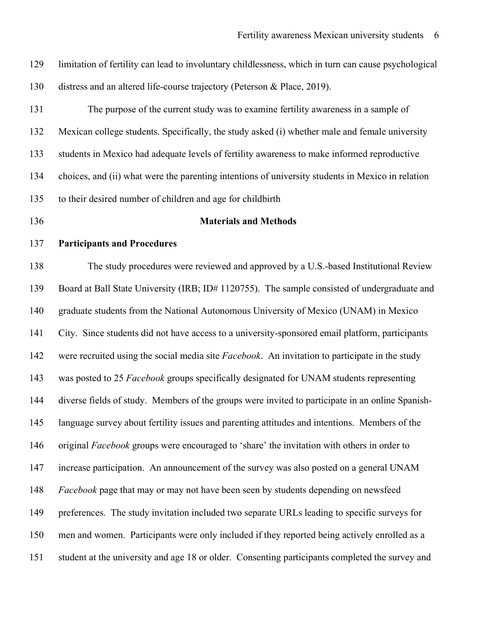| 129 | limitation of fertility can lead to involuntary childlessness, which in turn can cause psychological |
|-----|------------------------------------------------------------------------------------------------------|
| 130 | distress and an altered life-course trajectory (Peterson & Place, 2019).                             |
| 131 | The purpose of the current study was to examine fertility awareness in a sample of                   |
| 132 | Mexican college students. Specifically, the study asked (i) whether male and female university       |
| 133 | students in Mexico had adequate levels of fertility awareness to make informed reproductive          |
| 134 | choices, and (ii) what were the parenting intentions of university students in Mexico in relation    |
| 135 | to their desired number of children and age for childbirth                                           |
| 136 | <b>Materials and Methods</b>                                                                         |
| 137 | <b>Participants and Procedures</b>                                                                   |
| 138 | The study procedures were reviewed and approved by a U.S.-based Institutional Review                 |
| 139 | Board at Ball State University (IRB; ID# 1120755). The sample consisted of undergraduate and         |
| 140 | graduate students from the National Autonomous University of Mexico (UNAM) in Mexico                 |
| 141 | City. Since students did not have access to a university-sponsored email platform, participants      |
| 142 | were recruited using the social media site Facebook. An invitation to participate in the study       |
| 143 | was posted to 25 Facebook groups specifically designated for UNAM students representing              |
| 144 | diverse fields of study. Members of the groups were invited to participate in an online Spanish-     |
| 145 | language survey about fertility issues and parenting attitudes and intentions. Members of the        |
| 146 | original Facebook groups were encouraged to 'share' the invitation with others in order to           |
| 147 | increase participation. An announcement of the survey was also posted on a general UNAM              |
| 148 | Facebook page that may or may not have been seen by students depending on newsfeed                   |
| 149 | preferences. The study invitation included two separate URLs leading to specific surveys for         |
| 150 | men and women. Participants were only included if they reported being actively enrolled as a         |
| 151 | student at the university and age 18 or older. Consenting participants completed the survey and      |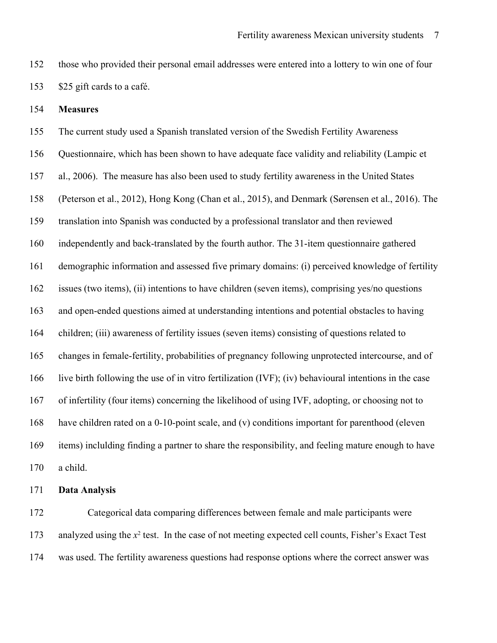- those who provided their personal email addresses were entered into a lottery to win one of four \$25 gift cards to a café.
- **Measures**

 The current study used a Spanish translated version of the Swedish Fertility Awareness Questionnaire, which has been shown to have adequate face validity and reliability (Lampic et al., 2006). The measure has also been used to study fertility awareness in the United States (Peterson et al., 2012), Hong Kong (Chan et al., 2015), and Denmark (Sørensen et al., 2016). The translation into Spanish was conducted by a professional translator and then reviewed independently and back-translated by the fourth author. The 31-item questionnaire gathered demographic information and assessed five primary domains: (i) perceived knowledge of fertility issues (two items), (ii) intentions to have children (seven items), comprising yes/no questions and open-ended questions aimed at understanding intentions and potential obstacles to having children; (iii) awareness of fertility issues (seven items) consisting of questions related to changes in female-fertility, probabilities of pregnancy following unprotected intercourse, and of live birth following the use of in vitro fertilization (IVF); (iv) behavioural intentions in the case of infertility (four items) concerning the likelihood of using IVF, adopting, or choosing not to have children rated on a 0-10-point scale, and (v) conditions important for parenthood (eleven items) inclulding finding a partner to share the responsibility, and feeling mature enough to have a child.

#### **Data Analysis**

 Categorical data comparing differences between female and male participants were 173 analyzed using the  $x^2$  test. In the case of not meeting expected cell counts, Fisher's Exact Test was used. The fertility awareness questions had response options where the correct answer was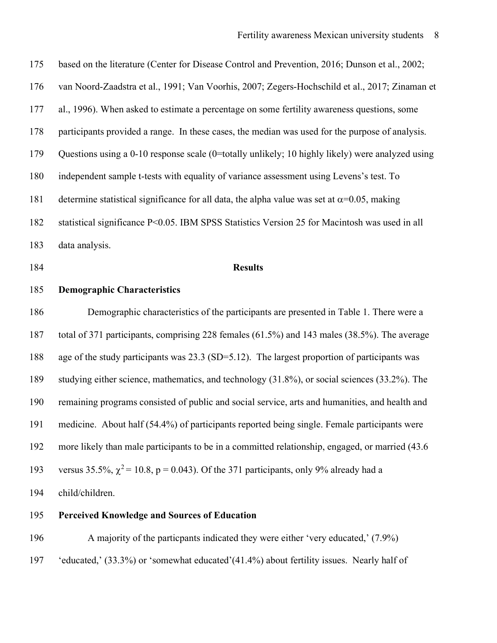based on the literature (Center for Disease Control and Prevention, 2016; Dunson et al., 2002; van Noord-Zaadstra et al., 1991; Van Voorhis, 2007; Zegers-Hochschild et al., 2017; Zinaman et al., 1996). When asked to estimate a percentage on some fertility awareness questions, some participants provided a range. In these cases, the median was used for the purpose of analysis. Questions using a 0-10 response scale (0=totally unlikely; 10 highly likely) were analyzed using independent sample t-tests with equality of variance assessment using Levens's test. To 181 determine statistical significance for all data, the alpha value was set at  $\alpha$ =0.05, making statistical significance P<0.05. IBM SPSS Statistics Version 25 for Macintosh was used in all data analysis.

## **Results**

#### **Demographic Characteristics**

 Demographic characteristics of the participants are presented in Table 1. There were a total of 371 participants, comprising 228 females (61.5%) and 143 males (38.5%). The average age of the study participants was 23.3 (SD=5.12). The largest proportion of participants was studying either science, mathematics, and technology (31.8%), or social sciences (33.2%). The remaining programs consisted of public and social service, arts and humanities, and health and medicine. About half (54.4%) of participants reported being single. Female participants were more likely than male participants to be in a committed relationship, engaged, or married (43.6 193 versus 35.5%,  $\gamma^2 = 10.8$ , p = 0.043). Of the 371 participants, only 9% already had a child/children.

## **Perceived Knowledge and Sources of Education**

 A majority of the particpants indicated they were either 'very educated,' (7.9%) 'educated,' (33.3%) or 'somewhat educated'(41.4%) about fertility issues. Nearly half of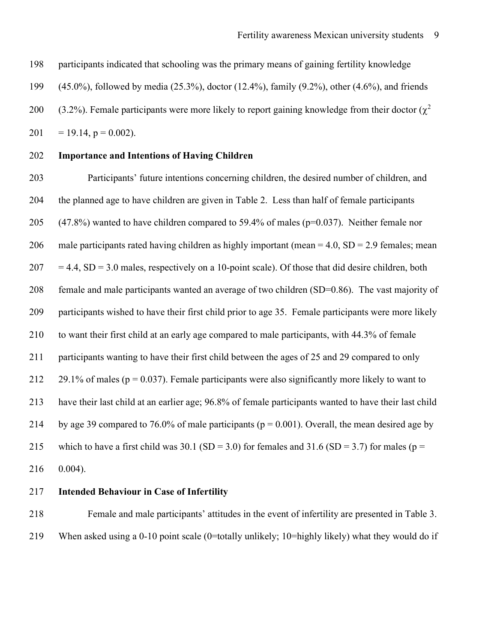participants indicated that schooling was the primary means of gaining fertility knowledge

(45.0%), followed by media (25.3%), doctor (12.4%), family (9.2%), other (4.6%), and friends

200 (3.2%). Female participants were more likely to report gaining knowledge from their doctor ( $\chi^2$ 

201 = 19.14,  $p = 0.002$ ).

#### **Importance and Intentions of Having Children**

 Participants' future intentions concerning children, the desired number of children, and the planned age to have children are given in Table 2. Less than half of female participants 205 (47.8%) wanted to have children compared to 59.4% of males ( $p=0.037$ ). Neither female nor 206 male participants rated having children as highly important (mean  $= 4.0$ , SD  $= 2.9$  females; mean  $207 = 4.4$ , SD = 3.0 males, respectively on a 10-point scale). Of those that did desire children, both female and male participants wanted an average of two children (SD=0.86). The vast majority of participants wished to have their first child prior to age 35. Female participants were more likely to want their first child at an early age compared to male participants, with 44.3% of female participants wanting to have their first child between the ages of 25 and 29 compared to only 212 29.1% of males ( $p = 0.037$ ). Female participants were also significantly more likely to want to have their last child at an earlier age; 96.8% of female participants wanted to have their last child 214 by age 39 compared to 76.0% of male participants ( $p = 0.001$ ). Overall, the mean desired age by 215 which to have a first child was 30.1 (SD = 3.0) for females and 31.6 (SD = 3.7) for males ( $p =$ 0.004).

#### **Intended Behaviour in Case of Infertility**

 Female and male participants' attitudes in the event of infertility are presented in Table 3. When asked using a 0-10 point scale (0=totally unlikely; 10=highly likely) what they would do if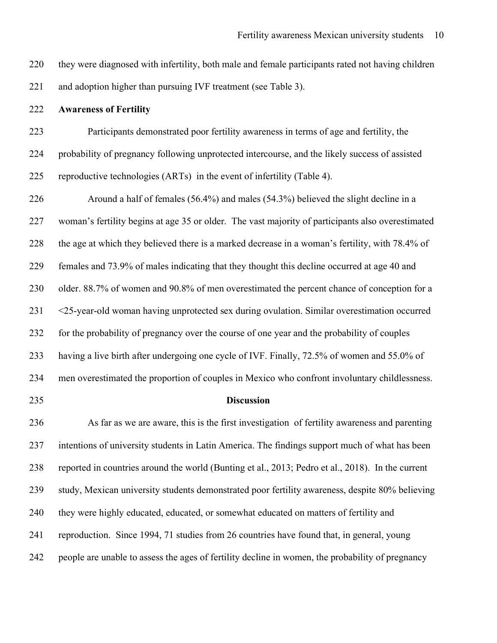they were diagnosed with infertility, both male and female participants rated not having children and adoption higher than pursuing IVF treatment (see Table 3).

#### **Awareness of Fertility**

 Participants demonstrated poor fertility awareness in terms of age and fertility, the probability of pregnancy following unprotected intercourse, and the likely success of assisted reproductive technologies (ARTs) in the event of infertility (Table 4).

 Around a half of females (56.4%) and males (54.3%) believed the slight decline in a woman's fertility begins at age 35 or older. The vast majority of participants also overestimated the age at which they believed there is a marked decrease in a woman's fertility, with 78.4% of females and 73.9% of males indicating that they thought this decline occurred at age 40 and older. 88.7% of women and 90.8% of men overestimated the percent chance of conception for a <25-year-old woman having unprotected sex during ovulation. Similar overestimation occurred for the probability of pregnancy over the course of one year and the probability of couples having a live birth after undergoing one cycle of IVF. Finally, 72.5% of women and 55.0% of men overestimated the proportion of couples in Mexico who confront involuntary childlessness.

#### **Discussion**

 As far as we are aware, this is the first investigation of fertility awareness and parenting intentions of university students in Latin America. The findings support much of what has been reported in countries around the world (Bunting et al., 2013; Pedro et al., 2018). In the current study, Mexican university students demonstrated poor fertility awareness, despite 80% believing they were highly educated, educated, or somewhat educated on matters of fertility and reproduction. Since 1994, 71 studies from 26 countries have found that, in general, young people are unable to assess the ages of fertility decline in women, the probability of pregnancy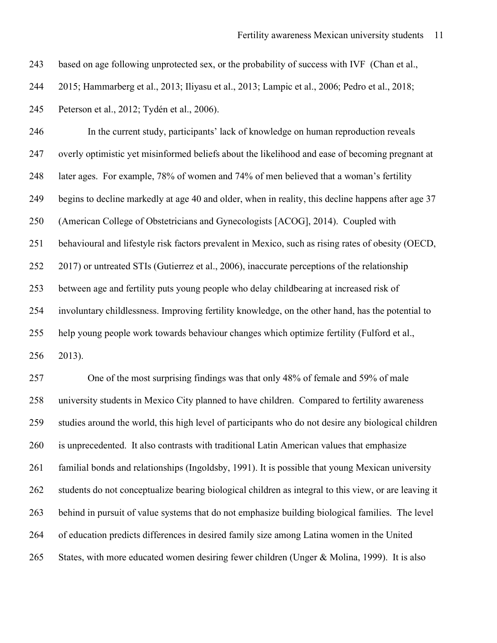based on age following unprotected sex, or the probability of success with IVF (Chan et al.,

2015; Hammarberg et al., 2013; Iliyasu et al., 2013; Lampic et al., 2006; Pedro et al., 2018;

Peterson et al., 2012; Tydén et al., 2006).

 In the current study, participants' lack of knowledge on human reproduction reveals overly optimistic yet misinformed beliefs about the likelihood and ease of becoming pregnant at later ages. For example, 78% of women and 74% of men believed that a woman's fertility begins to decline markedly at age 40 and older, when in reality, this decline happens after age 37 (American College of Obstetricians and Gynecologists [ACOG], 2014). Coupled with behavioural and lifestyle risk factors prevalent in Mexico, such as rising rates of obesity (OECD, 2017) or untreated STIs (Gutierrez et al., 2006), inaccurate perceptions of the relationship between age and fertility puts young people who delay childbearing at increased risk of involuntary childlessness. Improving fertility knowledge, on the other hand, has the potential to help young people work towards behaviour changes which optimize fertility (Fulford et al., 2013).

 One of the most surprising findings was that only 48% of female and 59% of male university students in Mexico City planned to have children. Compared to fertility awareness studies around the world, this high level of participants who do not desire any biological children is unprecedented. It also contrasts with traditional Latin American values that emphasize familial bonds and relationships (Ingoldsby, 1991). It is possible that young Mexican university students do not conceptualize bearing biological children as integral to this view, or are leaving it behind in pursuit of value systems that do not emphasize building biological families. The level of education predicts differences in desired family size among Latina women in the United States, with more educated women desiring fewer children (Unger & Molina, 1999). It is also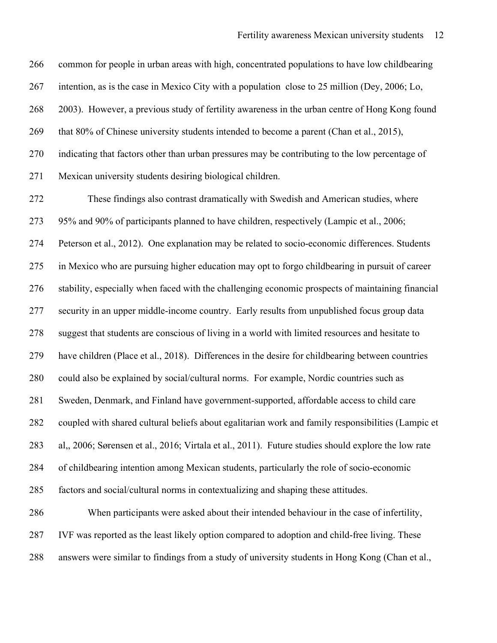common for people in urban areas with high, concentrated populations to have low childbearing intention, as is the case in Mexico City with a population close to 25 million (Dey, 2006; Lo, 2003). However, a previous study of fertility awareness in the urban centre of Hong Kong found 269 that 80% of Chinese university students intended to become a parent (Chan et al., 2015), indicating that factors other than urban pressures may be contributing to the low percentage of Mexican university students desiring biological children.

 These findings also contrast dramatically with Swedish and American studies, where 95% and 90% of participants planned to have children, respectively (Lampic et al., 2006; Peterson et al., 2012). One explanation may be related to socio-economic differences. Students in Mexico who are pursuing higher education may opt to forgo childbearing in pursuit of career stability, especially when faced with the challenging economic prospects of maintaining financial security in an upper middle-income country. Early results from unpublished focus group data suggest that students are conscious of living in a world with limited resources and hesitate to have children (Place et al., 2018). Differences in the desire for childbearing between countries could also be explained by social/cultural norms. For example, Nordic countries such as Sweden, Denmark, and Finland have government-supported, affordable access to child care coupled with shared cultural beliefs about egalitarian work and family responsibilities (Lampic et al,, 2006; Sørensen et al., 2016; Virtala et al., 2011). Future studies should explore the low rate of childbearing intention among Mexican students, particularly the role of socio-economic factors and social/cultural norms in contextualizing and shaping these attitudes.

 When participants were asked about their intended behaviour in the case of infertility, IVF was reported as the least likely option compared to adoption and child-free living. These answers were similar to findings from a study of university students in Hong Kong (Chan et al.,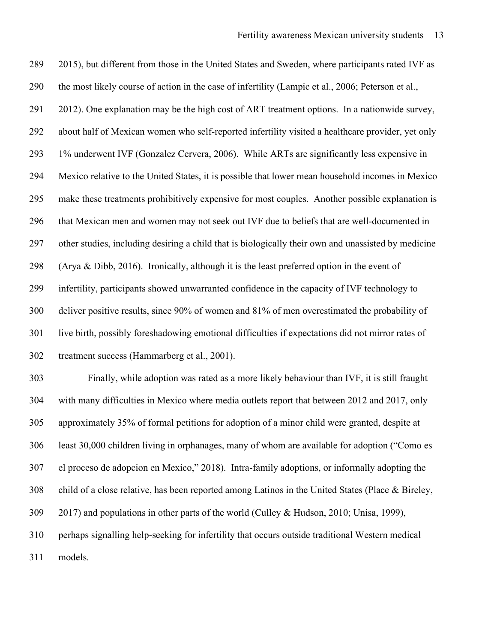289 2015), but different from those in the United States and Sweden, where participants rated IVF as the most likely course of action in the case of infertility (Lampic et al., 2006; Peterson et al., 2012). One explanation may be the high cost of ART treatment options. In a nationwide survey, about half of Mexican women who self-reported infertility visited a healthcare provider, yet only 1% underwent IVF (Gonzalez Cervera, 2006). While ARTs are significantly less expensive in Mexico relative to the United States, it is possible that lower mean household incomes in Mexico make these treatments prohibitively expensive for most couples. Another possible explanation is that Mexican men and women may not seek out IVF due to beliefs that are well-documented in other studies, including desiring a child that is biologically their own and unassisted by medicine (Arya & Dibb, 2016). Ironically, although it is the least preferred option in the event of infertility, participants showed unwarranted confidence in the capacity of IVF technology to deliver positive results, since 90% of women and 81% of men overestimated the probability of live birth, possibly foreshadowing emotional difficulties if expectations did not mirror rates of treatment success (Hammarberg et al., 2001).

 Finally, while adoption was rated as a more likely behaviour than IVF, it is still fraught with many difficulties in Mexico where media outlets report that between 2012 and 2017, only approximately 35% of formal petitions for adoption of a minor child were granted, despite at least 30,000 children living in orphanages, many of whom are available for adoption ("Como es el proceso de adopcion en Mexico," 2018). Intra-family adoptions, or informally adopting the child of a close relative, has been reported among Latinos in the United States (Place & Bireley, 2017) and populations in other parts of the world (Culley & Hudson, 2010; Unisa, 1999), perhaps signalling help-seeking for infertility that occurs outside traditional Western medical models.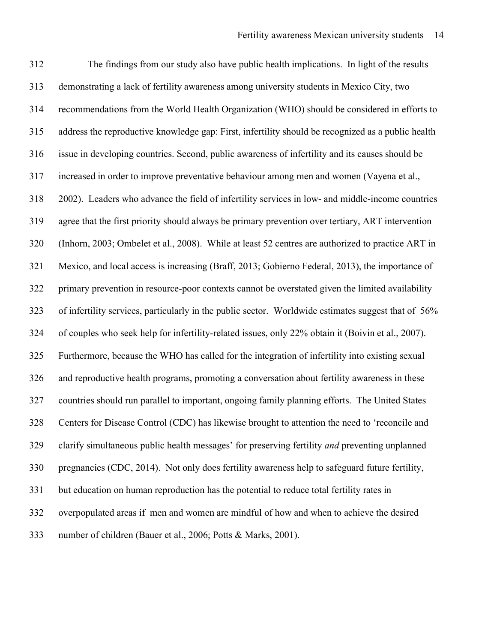The findings from our study also have public health implications. In light of the results demonstrating a lack of fertility awareness among university students in Mexico City, two recommendations from the World Health Organization (WHO) should be considered in efforts to address the reproductive knowledge gap: First, infertility should be recognized as a public health issue in developing countries. Second, public awareness of infertility and its causes should be increased in order to improve preventative behaviour among men and women (Vayena et al., 2002). Leaders who advance the field of infertility services in low- and middle-income countries agree that the first priority should always be primary prevention over tertiary, ART intervention (Inhorn, 2003; Ombelet et al., 2008). While at least 52 centres are authorized to practice ART in Mexico, and local access is increasing (Braff, 2013; Gobierno Federal, 2013), the importance of primary prevention in resource-poor contexts cannot be overstated given the limited availability of infertility services, particularly in the public sector. Worldwide estimates suggest that of 56% of couples who seek help for infertility-related issues, only 22% obtain it (Boivin et al., 2007). Furthermore, because the WHO has called for the integration of infertility into existing sexual and reproductive health programs, promoting a conversation about fertility awareness in these countries should run parallel to important, ongoing family planning efforts. The United States Centers for Disease Control (CDC) has likewise brought to attention the need to 'reconcile and clarify simultaneous public health messages' for preserving fertility *and* preventing unplanned pregnancies (CDC, 2014). Not only does fertility awareness help to safeguard future fertility, but education on human reproduction has the potential to reduce total fertility rates in overpopulated areas if men and women are mindful of how and when to achieve the desired number of children (Bauer et al., 2006; Potts & Marks, 2001).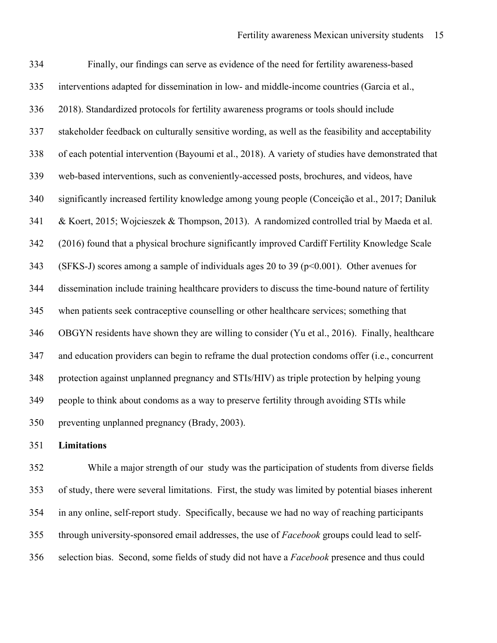Finally, our findings can serve as evidence of the need for fertility awareness-based interventions adapted for dissemination in low- and middle-income countries (Garcia et al., 2018). Standardized protocols for fertility awareness programs or tools should include stakeholder feedback on culturally sensitive wording, as well as the feasibility and acceptability of each potential intervention (Bayoumi et al., 2018). A variety of studies have demonstrated that web-based interventions, such as conveniently-accessed posts, brochures, and videos, have significantly increased fertility knowledge among young people (Conceição et al., 2017; Daniluk & Koert, 2015; Wojcieszek & Thompson, 2013). A randomized controlled trial by Maeda et al. (2016) found that a physical brochure significantly improved Cardiff Fertility Knowledge Scale (SFKS-J) scores among a sample of individuals ages 20 to 39 (p<0.001). Other avenues for dissemination include training healthcare providers to discuss the time-bound nature of fertility when patients seek contraceptive counselling or other healthcare services; something that OBGYN residents have shown they are willing to consider (Yu et al., 2016). Finally, healthcare and education providers can begin to reframe the dual protection condoms offer (i.e., concurrent protection against unplanned pregnancy and STIs/HIV) as triple protection by helping young people to think about condoms as a way to preserve fertility through avoiding STIs while preventing unplanned pregnancy (Brady, 2003).

**Limitations**

 While a major strength of our study was the participation of students from diverse fields of study, there were several limitations. First, the study was limited by potential biases inherent in any online, self-report study. Specifically, because we had no way of reaching participants through university-sponsored email addresses, the use of *Facebook* groups could lead to self-selection bias. Second, some fields of study did not have a *Facebook* presence and thus could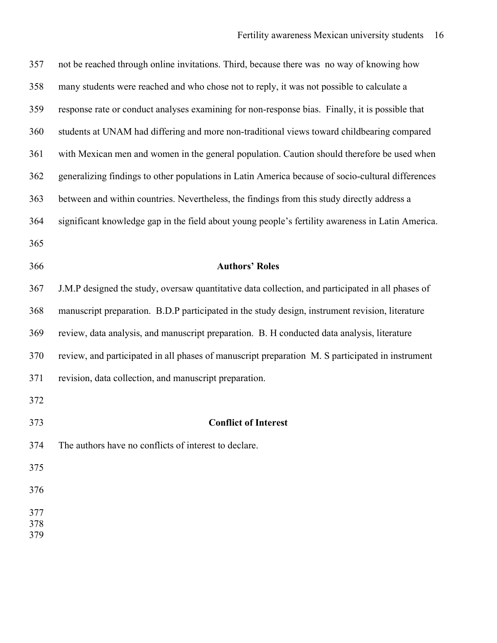| 357               | not be reached through online invitations. Third, because there was no way of knowing how         |
|-------------------|---------------------------------------------------------------------------------------------------|
| 358               | many students were reached and who chose not to reply, it was not possible to calculate a         |
| 359               | response rate or conduct analyses examining for non-response bias. Finally, it is possible that   |
| 360               | students at UNAM had differing and more non-traditional views toward childbearing compared        |
| 361               | with Mexican men and women in the general population. Caution should therefore be used when       |
| 362               | generalizing findings to other populations in Latin America because of socio-cultural differences |
| 363               | between and within countries. Nevertheless, the findings from this study directly address a       |
| 364               | significant knowledge gap in the field about young people's fertility awareness in Latin America. |
| 365               |                                                                                                   |
| 366               | <b>Authors' Roles</b>                                                                             |
| 367               | J.M.P designed the study, oversaw quantitative data collection, and participated in all phases of |
| 368               | manuscript preparation. B.D.P participated in the study design, instrument revision, literature   |
| 369               | review, data analysis, and manuscript preparation. B. H conducted data analysis, literature       |
| 370               | review, and participated in all phases of manuscript preparation M. S participated in instrument  |
| 371               | revision, data collection, and manuscript preparation.                                            |
| 372               |                                                                                                   |
| 373               | <b>Conflict of Interest</b>                                                                       |
| 374               | The authors have no conflicts of interest to declare.                                             |
| 375               |                                                                                                   |
| 376               |                                                                                                   |
| 377<br>378<br>379 |                                                                                                   |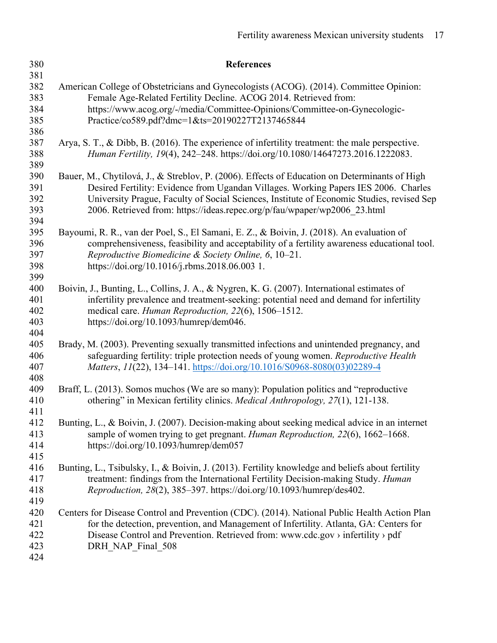| 380               | <b>References</b>                                                                                    |
|-------------------|------------------------------------------------------------------------------------------------------|
| 381               |                                                                                                      |
| 382               | American College of Obstetricians and Gynecologists (ACOG). (2014). Committee Opinion:               |
| 383               | Female Age-Related Fertility Decline. ACOG 2014. Retrieved from:                                     |
| 384               | https://www.acog.org/-/media/Committee-Opinions/Committee-on-Gynecologic-                            |
| 385               | Practice/co589.pdf?dmc=1&ts=20190227T2137465844                                                      |
| 386               |                                                                                                      |
| 387               | Arya, S. T., & Dibb, B. (2016). The experience of infertility treatment: the male perspective.       |
| 388               | Human Fertility, 19(4), 242-248. https://doi.org/10.1080/14647273.2016.1222083.                      |
| 389               |                                                                                                      |
| 390               | Bauer, M., Chytilová, J., & Streblov, P. (2006). Effects of Education on Determinants of High        |
| 391               | Desired Fertility: Evidence from Ugandan Villages. Working Papers IES 2006. Charles                  |
| 392               | University Prague, Faculty of Social Sciences, Institute of Economic Studies, revised Sep            |
| 393               | 2006. Retrieved from: https://ideas.repec.org/p/fau/wpaper/wp2006 23.html                            |
| 394               |                                                                                                      |
| 395               | Bayoumi, R. R., van der Poel, S., El Samani, E. Z., & Boivin, J. (2018). An evaluation of            |
| 396               | comprehensiveness, feasibility and acceptability of a fertility awareness educational tool.          |
| 397               | Reproductive Biomedicine & Society Online, 6, 10-21.                                                 |
| 398               | https://doi.org/10.1016/j.rbms.2018.06.003 1.                                                        |
| 399               |                                                                                                      |
| 400               | Boivin, J., Bunting, L., Collins, J. A., & Nygren, K. G. (2007). International estimates of          |
| 401               | infertility prevalence and treatment-seeking: potential need and demand for infertility              |
| 402               | medical care. Human Reproduction, 22(6), 1506-1512.                                                  |
| 403               | https://doi.org/10.1093/humrep/dem046.                                                               |
| 404               |                                                                                                      |
| 405               | Brady, M. (2003). Preventing sexually transmitted infections and unintended pregnancy, and           |
| 406               | safeguarding fertility: triple protection needs of young women. Reproductive Health                  |
| 407               | Matters, 11(22), 134-141. https://doi.org/10.1016/S0968-8080(03)02289-4                              |
| 408               |                                                                                                      |
| 409               | Braff, L. (2013). Somos muchos (We are so many): Population politics and "reproductive               |
| 410               | othering" in Mexican fertility clinics. Medical Anthropology, 27(1), 121-138.                        |
| 411<br>412        | Bunting, L., & Boivin, J. (2007). Decision-making about seeking medical advice in an internet        |
| 413               | sample of women trying to get pregnant. Human Reproduction, 22(6), 1662–1668.                        |
| 414               | https://doi.org/10.1093/humrep/dem057                                                                |
| 415               |                                                                                                      |
| 416               | Bunting, L., Tsibulsky, I., & Boivin, J. (2013). Fertility knowledge and beliefs about fertility     |
| 417               | treatment: findings from the International Fertility Decision-making Study. Human                    |
| 418               | Reproduction, 28(2), 385-397. https://doi.org/10.1093/humrep/des402.                                 |
| 419               |                                                                                                      |
| 420               | Centers for Disease Control and Prevention (CDC). (2014). National Public Health Action Plan         |
| 421               | for the detection, prevention, and Management of Infertility. Atlanta, GA: Centers for               |
|                   |                                                                                                      |
|                   |                                                                                                      |
|                   |                                                                                                      |
| 422<br>423<br>424 | Disease Control and Prevention. Retrieved from: www.cdc.gov > infertility > pdf<br>DRH NAP Final 508 |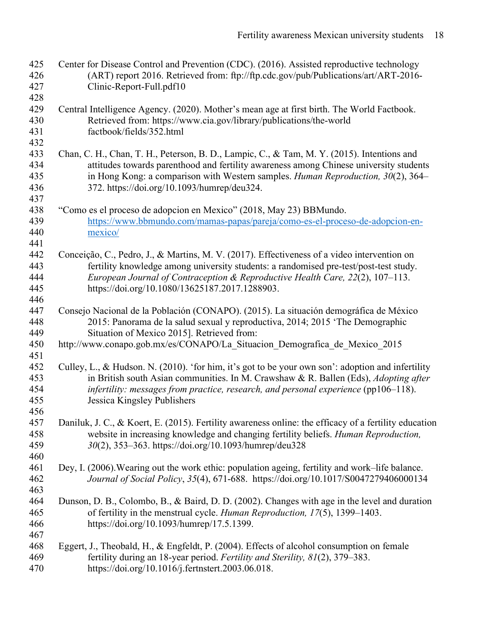| 425<br>426<br>427<br>428        | Center for Disease Control and Prevention (CDC). (2016). Assisted reproductive technology<br>(ART) report 2016. Retrieved from: ftp://ftp.cdc.gov/pub/Publications/art/ART-2016-<br>Clinic-Report-Full.pdf10                                                                                                                 |
|---------------------------------|------------------------------------------------------------------------------------------------------------------------------------------------------------------------------------------------------------------------------------------------------------------------------------------------------------------------------|
| 429<br>430<br>431<br>432        | Central Intelligence Agency. (2020). Mother's mean age at first birth. The World Factbook.<br>Retrieved from: https://www.cia.gov/library/publications/the-world<br>factbook/fields/352.html                                                                                                                                 |
| 433<br>434<br>435<br>436        | Chan, C. H., Chan, T. H., Peterson, B. D., Lampic, C., & Tam, M. Y. (2015). Intentions and<br>attitudes towards parenthood and fertility awareness among Chinese university students<br>in Hong Kong: a comparison with Western samples. Human Reproduction, $30(2)$ , $364-$<br>372. https://doi.org/10.1093/humrep/deu324. |
| 437<br>438<br>439<br>440<br>441 | "Como es el proceso de adopcion en Mexico" (2018, May 23) BBMundo.<br>https://www.bbmundo.com/mamas-papas/pareja/como-es-el-proceso-de-adopcion-en-<br>mexico/                                                                                                                                                               |
| 442<br>443<br>444<br>445<br>446 | Conceição, C., Pedro, J., & Martins, M. V. (2017). Effectiveness of a video intervention on<br>fertility knowledge among university students: a randomised pre-test/post-test study.<br>European Journal of Contraception & Reproductive Health Care, 22(2), 107-113.<br>https://doi.org/10.1080/13625187.2017.1288903.      |
| 447<br>448<br>449<br>450        | Consejo Nacional de la Población (CONAPO). (2015). La situación demográfica de México<br>2015: Panorama de la salud sexual y reproductiva, 2014; 2015 'The Demographic<br>Situation of Mexico 2015]. Retrieved from:<br>http://www.conapo.gob.mx/es/CONAPO/La Situacion Demografica de Mexico 2015                           |
| 451<br>452<br>453<br>454<br>455 | Culley, L., & Hudson. N. (2010). 'for him, it's got to be your own son': adoption and infertility<br>in British south Asian communities. In M. Crawshaw & R. Ballen (Eds), Adopting after<br>infertility: messages from practice, research, and personal experience ( $pp106-118$ ).<br>Jessica Kingsley Publishers          |
| 456<br>457<br>458<br>459<br>460 | Daniluk, J. C., & Koert, E. (2015). Fertility awareness online: the efficacy of a fertility education<br>website in increasing knowledge and changing fertility beliefs. Human Reproduction,<br>30(2), 353-363. https://doi.org/10.1093/humrep/deu328                                                                        |
| 461<br>462<br>463               | Dey, I. (2006). Wearing out the work ethic: population ageing, fertility and work–life balance.<br>Journal of Social Policy, 35(4), 671-688. https://doi.org/10.1017/S0047279406000134                                                                                                                                       |
| 464<br>465<br>466               | Dunson, D. B., Colombo, B., & Baird, D. D. (2002). Changes with age in the level and duration<br>of fertility in the menstrual cycle. Human Reproduction, 17(5), 1399-1403.<br>https://doi.org/10.1093/humrep/17.5.1399.                                                                                                     |
| 467<br>468<br>469<br>470        | Eggert, J., Theobald, H., & Engfeldt, P. (2004). Effects of alcohol consumption on female<br>fertility during an 18-year period. Fertility and Sterility, 81(2), 379–383.<br>https://doi.org/10.1016/j.fertnstert.2003.06.018.                                                                                               |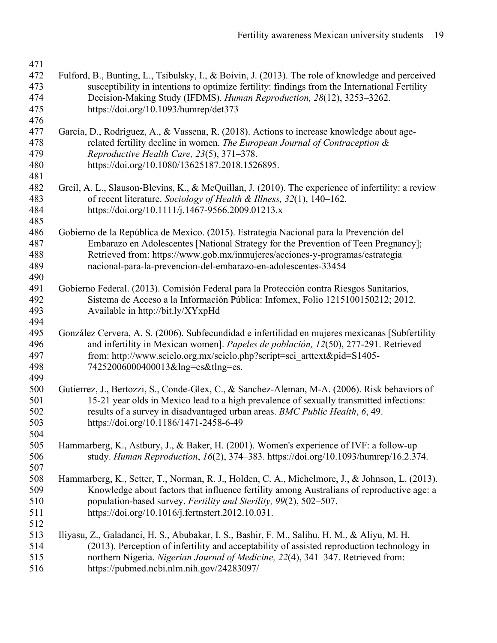| 471 |                                                                                                    |
|-----|----------------------------------------------------------------------------------------------------|
| 472 | Fulford, B., Bunting, L., Tsibulsky, I., & Boivin, J. (2013). The role of knowledge and perceived  |
| 473 | susceptibility in intentions to optimize fertility: findings from the International Fertility      |
| 474 | Decision-Making Study (IFDMS). Human Reproduction, 28(12), 3253-3262.                              |
| 475 | https://doi.org/10.1093/humrep/det373                                                              |
| 476 |                                                                                                    |
| 477 | García, D., Rodríguez, A., & Vassena, R. (2018). Actions to increase knowledge about age-          |
| 478 | related fertility decline in women. The European Journal of Contraception &                        |
| 479 | Reproductive Health Care, 23(5), 371-378.                                                          |
| 480 | https://doi.org/10.1080/13625187.2018.1526895.                                                     |
| 481 |                                                                                                    |
| 482 | Greil, A. L., Slauson-Blevins, K., & McQuillan, J. (2010). The experience of infertility: a review |
| 483 | of recent literature. Sociology of Health & Illness, 32(1), 140–162.                               |
| 484 | https://doi.org/10.1111/j.1467-9566.2009.01213.x                                                   |
| 485 |                                                                                                    |
| 486 | Gobierno de la República de Mexico. (2015). Estrategia Nacional para la Prevención del             |
| 487 | Embarazo en Adolescentes [National Strategy for the Prevention of Teen Pregnancy];                 |
| 488 | Retrieved from: https://www.gob.mx/inmujeres/acciones-y-programas/estrategia                       |
| 489 | nacional-para-la-prevencion-del-embarazo-en-adolescentes-33454                                     |
| 490 |                                                                                                    |
| 491 | Gobierno Federal. (2013). Comisión Federal para la Protección contra Riesgos Sanitarios,           |
| 492 | Sistema de Acceso a la Información Pública: Infomex, Folio 1215100150212; 2012.                    |
| 493 | Available in http://bit.ly/XYxpHd                                                                  |
| 494 |                                                                                                    |
| 495 | González Cervera, A. S. (2006). Subfecundidad e infertilidad en mujeres mexicanas [Subfertility    |
| 496 | and infertility in Mexican women]. Papeles de población, 12(50), 277-291. Retrieved                |
| 497 | from: http://www.scielo.org.mx/scielo.php?script=sci arttext&pid=S1405-                            |
| 498 | 74252006000400013&lng=es&tlng=es.                                                                  |
| 499 |                                                                                                    |
| 500 | Gutierrez, J., Bertozzi, S., Conde-Glex, C., & Sanchez-Aleman, M-A. (2006). Risk behaviors of      |
| 501 | 15-21 year olds in Mexico lead to a high prevalence of sexually transmitted infections:            |
| 502 | results of a survey in disadvantaged urban areas. BMC Public Health, 6, 49.                        |
| 503 | https://doi.org/10.1186/1471-2458-6-49                                                             |
| 504 |                                                                                                    |
| 505 | Hammarberg, K., Astbury, J., & Baker, H. (2001). Women's experience of IVF: a follow-up            |
| 506 | study. Human Reproduction, 16(2), 374-383. https://doi.org/10.1093/humrep/16.2.374.                |
| 507 |                                                                                                    |
| 508 | Hammarberg, K., Setter, T., Norman, R. J., Holden, C. A., Michelmore, J., & Johnson, L. (2013).    |
| 509 | Knowledge about factors that influence fertility among Australians of reproductive age: a          |
| 510 | population-based survey. Fertility and Sterility, 99(2), 502-507.                                  |
|     |                                                                                                    |
| 511 | https://doi.org/10.1016/j.fertnstert.2012.10.031.                                                  |
| 512 |                                                                                                    |
| 513 | Iliyasu, Z., Galadanci, H. S., Abubakar, I. S., Bashir, F. M., Salihu, H. M., & Aliyu, M. H.       |
| 514 | (2013). Perception of infertility and acceptability of assisted reproduction technology in         |
| 515 | northern Nigeria. Nigerian Journal of Medicine, 22(4), 341-347. Retrieved from:                    |
| 516 | https://pubmed.ncbi.nlm.nih.gov/24283097/                                                          |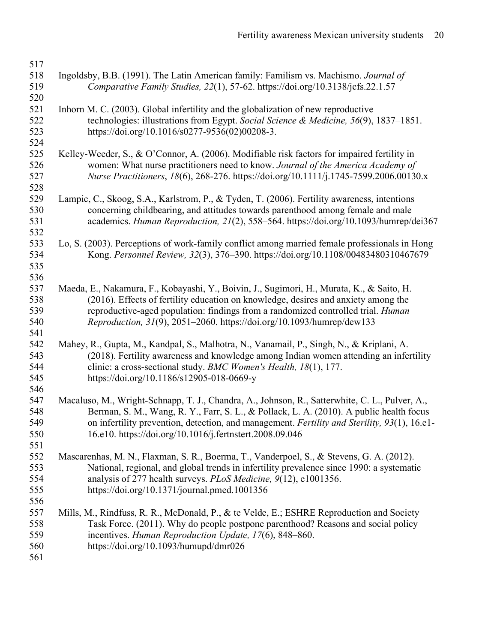| 517 |                                                                                                |
|-----|------------------------------------------------------------------------------------------------|
| 518 | Ingoldsby, B.B. (1991). The Latin American family: Familism vs. Machismo. Journal of           |
| 519 | Comparative Family Studies, 22(1), 57-62. https://doi.org/10.3138/jcfs.22.1.57                 |
| 520 |                                                                                                |
| 521 | Inhorn M. C. (2003). Global infertility and the globalization of new reproductive              |
| 522 | technologies: illustrations from Egypt. Social Science & Medicine, 56(9), 1837–1851.           |
| 523 | https://doi.org/10.1016/s0277-9536(02)00208-3.                                                 |
| 524 |                                                                                                |
| 525 | Kelley-Weeder, S., & O'Connor, A. (2006). Modifiable risk factors for impaired fertility in    |
| 526 | women: What nurse practitioners need to know. Journal of the America Academy of                |
| 527 | Nurse Practitioners, 18(6), 268-276. https://doi.org/10.1111/j.1745-7599.2006.00130.x          |
| 528 |                                                                                                |
| 529 | Lampic, C., Skoog, S.A., Karlstrom, P., & Tyden, T. (2006). Fertility awareness, intentions    |
| 530 | concerning childbearing, and attitudes towards parenthood among female and male                |
| 531 | academics. Human Reproduction, 21(2), 558-564. https://doi.org/10.1093/humrep/dei367           |
| 532 |                                                                                                |
| 533 | Lo, S. (2003). Perceptions of work-family conflict among married female professionals in Hong  |
| 534 | Kong. Personnel Review, 32(3), 376–390. https://doi.org/10.1108/00483480310467679              |
| 535 |                                                                                                |
| 536 |                                                                                                |
| 537 | Maeda, E., Nakamura, F., Kobayashi, Y., Boivin, J., Sugimori, H., Murata, K., & Saito, H.      |
| 538 | (2016). Effects of fertility education on knowledge, desires and anxiety among the             |
| 539 | reproductive-aged population: findings from a randomized controlled trial. Human               |
| 540 | Reproduction, 31(9), 2051-2060. https://doi.org/10.1093/humrep/dew133                          |
| 541 |                                                                                                |
| 542 | Mahey, R., Gupta, M., Kandpal, S., Malhotra, N., Vanamail, P., Singh, N., & Kriplani, A.       |
| 543 | (2018). Fertility awareness and knowledge among Indian women attending an infertility          |
| 544 | clinic: a cross-sectional study. BMC Women's Health, 18(1), 177.                               |
| 545 | https://doi.org/10.1186/s12905-018-0669-y                                                      |
| 546 |                                                                                                |
| 547 | Macaluso, M., Wright-Schnapp, T. J., Chandra, A., Johnson, R., Satterwhite, C. L., Pulver, A., |
| 548 | Berman, S. M., Wang, R. Y., Farr, S. L., & Pollack, L. A. (2010). A public health focus        |
| 549 | on infertility prevention, detection, and management. Fertility and Sterility, 93(1), 16.e1-   |
| 550 | 16.e10. https://doi.org/10.1016/j.fertnstert.2008.09.046                                       |
| 551 |                                                                                                |
| 552 | Mascarenhas, M. N., Flaxman, S. R., Boerma, T., Vanderpoel, S., & Stevens, G. A. (2012).       |
| 553 | National, regional, and global trends in infertility prevalence since 1990: a systematic       |
| 554 | analysis of 277 health surveys. PLoS Medicine, 9(12), e1001356.                                |
| 555 | https://doi.org/10.1371/journal.pmed.1001356                                                   |
| 556 |                                                                                                |
| 557 | Mills, M., Rindfuss, R. R., McDonald, P., & te Velde, E.; ESHRE Reproduction and Society       |
| 558 | Task Force. (2011). Why do people postpone parenthood? Reasons and social policy               |
| 559 | incentives. Human Reproduction Update, 17(6), 848–860.                                         |
| 560 | https://doi.org/10.1093/humupd/dmr026                                                          |
| 561 |                                                                                                |
|     |                                                                                                |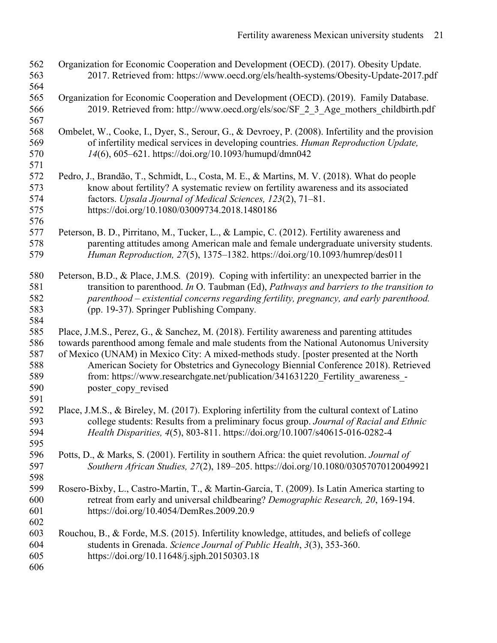| 562<br>563                                    | Organization for Economic Cooperation and Development (OECD). (2017). Obesity Update.<br>2017. Retrieved from: https://www.oecd.org/els/health-systems/Obesity-Update-2017.pdf                                                                                                                                                                                                                                                                                                    |
|-----------------------------------------------|-----------------------------------------------------------------------------------------------------------------------------------------------------------------------------------------------------------------------------------------------------------------------------------------------------------------------------------------------------------------------------------------------------------------------------------------------------------------------------------|
| 564<br>565<br>566                             | Organization for Economic Cooperation and Development (OECD). (2019). Family Database.<br>2019. Retrieved from: http://www.oecd.org/els/soc/SF 2 3 Age mothers childbirth.pdf                                                                                                                                                                                                                                                                                                     |
| 567<br>568<br>569<br>570                      | Ombelet, W., Cooke, I., Dyer, S., Serour, G., & Devroey, P. (2008). Infertility and the provision<br>of infertility medical services in developing countries. Human Reproduction Update,<br>14(6), 605–621. https://doi.org/10.1093/humupd/dmn042                                                                                                                                                                                                                                 |
| 571<br>572<br>573<br>574<br>575<br>576        | Pedro, J., Brandão, T., Schmidt, L., Costa, M. E., & Martins, M. V. (2018). What do people<br>know about fertility? A systematic review on fertility awareness and its associated<br>factors. Upsala Jjournal of Medical Sciences, 123(2), 71-81.<br>https://doi.org/10.1080/03009734.2018.1480186                                                                                                                                                                                |
| 577<br>578<br>579                             | Peterson, B. D., Pirritano, M., Tucker, L., & Lampic, C. (2012). Fertility awareness and<br>parenting attitudes among American male and female undergraduate university students.<br>Human Reproduction, 27(5), 1375-1382. https://doi.org/10.1093/humrep/des011                                                                                                                                                                                                                  |
| 580<br>581<br>582<br>583<br>584               | Peterson, B.D., & Place, J.M.S. (2019). Coping with infertility: an unexpected barrier in the<br>transition to parenthood. In O. Taubman (Ed), Pathways and barriers to the transition to<br>parenthood – existential concerns regarding fertility, pregnancy, and early parenthood.<br>(pp. 19-37). Springer Publishing Company.                                                                                                                                                 |
| 585<br>586<br>587<br>588<br>589<br>590<br>591 | Place, J.M.S., Perez, G., & Sanchez, M. (2018). Fertility awareness and parenting attitudes<br>towards parenthood among female and male students from the National Autonomus University<br>of Mexico (UNAM) in Mexico City: A mixed-methods study. [poster presented at the North<br>American Society for Obstetrics and Gynecology Biennial Conference 2018). Retrieved<br>from: https://www.researchgate.net/publication/341631220_Fertility_awareness_-<br>poster copy revised |
| 592<br>593<br>594<br>595                      | Place, J.M.S., & Bireley, M. (2017). Exploring infertility from the cultural context of Latino<br>college students: Results from a preliminary focus group. Journal of Racial and Ethnic<br>Health Disparities, 4(5), 803-811. https://doi.org/10.1007/s40615-016-0282-4                                                                                                                                                                                                          |
| 596<br>597                                    | Potts, D., & Marks, S. (2001). Fertility in southern Africa: the quiet revolution. <i>Journal of</i><br>Southern African Studies, 27(2), 189-205. https://doi.org/10.1080/03057070120049921                                                                                                                                                                                                                                                                                       |
| 598<br>599<br>600<br>601                      | Rosero-Bixby, L., Castro-Martin, T., & Martin-Garcia, T. (2009). Is Latin America starting to<br>retreat from early and universal childbearing? Demographic Research, 20, 169-194.<br>https://doi.org/10.4054/DemRes.2009.20.9                                                                                                                                                                                                                                                    |
| 602<br>603<br>604<br>605<br>606               | Rouchou, B., & Forde, M.S. (2015). Infertility knowledge, attitudes, and beliefs of college<br>students in Grenada. Science Journal of Public Health, 3(3), 353-360.<br>https://doi.org/10.11648/j.sjph.20150303.18                                                                                                                                                                                                                                                               |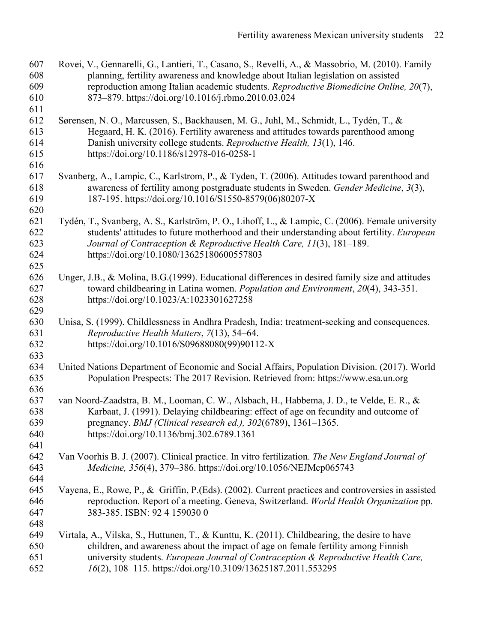| 607<br>608<br>609<br>610        | Rovei, V., Gennarelli, G., Lantieri, T., Casano, S., Revelli, A., & Massobrio, M. (2010). Family<br>planning, fertility awareness and knowledge about Italian legislation on assisted<br>reproduction among Italian academic students. Reproductive Biomedicine Online, 20(7),<br>873-879. https://doi.org/10.1016/j.rbmo.2010.03.024   |
|---------------------------------|-----------------------------------------------------------------------------------------------------------------------------------------------------------------------------------------------------------------------------------------------------------------------------------------------------------------------------------------|
| 611<br>612<br>613<br>614<br>615 | Sørensen, N. O., Marcussen, S., Backhausen, M. G., Juhl, M., Schmidt, L., Tydén, T., &<br>Hegaard, H. K. (2016). Fertility awareness and attitudes towards parenthood among<br>Danish university college students. Reproductive Health, 13(1), 146.<br>https://doi.org/10.1186/s12978-016-0258-1                                        |
| 616<br>617<br>618<br>619<br>620 | Svanberg, A., Lampic, C., Karlstrom, P., & Tyden, T. (2006). Attitudes toward parenthood and<br>awareness of fertility among postgraduate students in Sweden. Gender Medicine, 3(3),<br>187-195. https://doi.org/10.1016/S1550-8579(06)80207-X                                                                                          |
| 621<br>622<br>623<br>624        | Tydén, T., Svanberg, A. S., Karlström, P. O., Lihoff, L., & Lampic, C. (2006). Female university<br>students' attitudes to future motherhood and their understanding about fertility. European<br>Journal of Contraception & Reproductive Health Care, 11(3), 181-189.<br>https://doi.org/10.1080/13625180600557803                     |
| 625<br>626<br>627<br>628<br>629 | Unger, J.B., & Molina, B.G. (1999). Educational differences in desired family size and attitudes<br>toward childbearing in Latina women. Population and Environment, 20(4), 343-351.<br>https://doi.org/10.1023/A:1023301627258                                                                                                         |
| 630<br>631<br>632<br>633        | Unisa, S. (1999). Childlessness in Andhra Pradesh, India: treatment-seeking and consequences.<br>Reproductive Health Matters, 7(13), 54–64.<br>https://doi.org/10.1016/S09688080(99)90112-X                                                                                                                                             |
| 634<br>635<br>636               | United Nations Department of Economic and Social Affairs, Population Division. (2017). World<br>Population Prespects: The 2017 Revision. Retrieved from: https://www.esa.un.org                                                                                                                                                         |
| 637<br>638<br>639<br>640<br>641 | van Noord-Zaadstra, B. M., Looman, C. W., Alsbach, H., Habbema, J. D., te Velde, E. R., &<br>Karbaat, J. (1991). Delaying childbearing: effect of age on fecundity and outcome of<br>pregnancy. BMJ (Clinical research ed.), 302(6789), 1361-1365.<br>https://doi.org/10.1136/bmj.302.6789.1361                                         |
| 642<br>643<br>644               | Van Voorhis B. J. (2007). Clinical practice. In vitro fertilization. The New England Journal of<br>Medicine, 356(4), 379-386. https://doi.org/10.1056/NEJMcp065743                                                                                                                                                                      |
| 645<br>646<br>647<br>648        | Vayena, E., Rowe, P., & Griffin, P.(Eds). (2002). Current practices and controversies in assisted<br>reproduction. Report of a meeting. Geneva, Switzerland. World Health Organization pp.<br>383-385. ISBN: 92 4 159030 0                                                                                                              |
| 649<br>650<br>651<br>652        | Virtala, A., Vilska, S., Huttunen, T., & Kunttu, K. (2011). Childbearing, the desire to have<br>children, and awareness about the impact of age on female fertility among Finnish<br>university students. European Journal of Contraception & Reproductive Health Care,<br>16(2), 108-115. https://doi.org/10.3109/13625187.2011.553295 |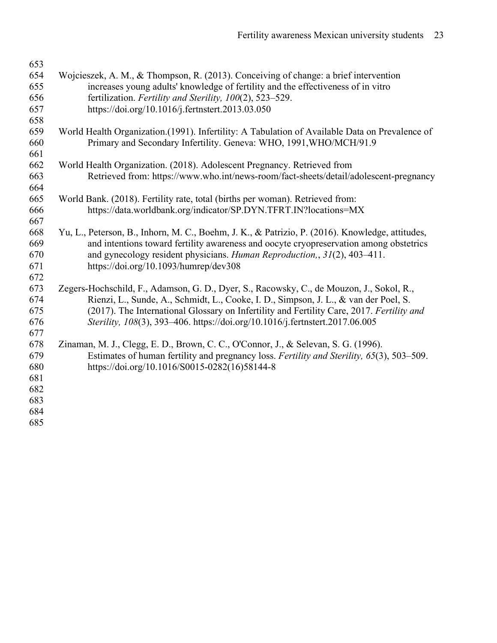| 653        |                                                                                                                                            |
|------------|--------------------------------------------------------------------------------------------------------------------------------------------|
| 654        | Wojcieszek, A. M., & Thompson, R. (2013). Conceiving of change: a brief intervention                                                       |
| 655        | increases young adults' knowledge of fertility and the effectiveness of in vitro                                                           |
| 656        | fertilization. Fertility and Sterility, 100(2), 523–529.                                                                                   |
| 657        | https://doi.org/10.1016/j.fertnstert.2013.03.050                                                                                           |
| 658        |                                                                                                                                            |
| 659        | World Health Organization. (1991). Infertility: A Tabulation of Available Data on Prevalence of                                            |
| 660        | Primary and Secondary Infertility. Geneva: WHO, 1991, WHO/MCH/91.9                                                                         |
| 661        |                                                                                                                                            |
| 662        | World Health Organization. (2018). Adolescent Pregnancy. Retrieved from                                                                    |
| 663        | Retrieved from: https://www.who.int/news-room/fact-sheets/detail/adolescent-pregnancy                                                      |
| 664        |                                                                                                                                            |
| 665        | World Bank. (2018). Fertility rate, total (births per woman). Retrieved from:                                                              |
| 666        | https://data.worldbank.org/indicator/SP.DYN.TFRT.IN?locations=MX                                                                           |
| 667        |                                                                                                                                            |
| 668        | Yu, L., Peterson, B., Inhorn, M. C., Boehm, J. K., & Patrizio, P. (2016). Knowledge, attitudes,                                            |
| 669        | and intentions toward fertility awareness and oocyte cryopreservation among obstetrics                                                     |
| 670        | and gynecology resident physicians. Human Reproduction, 31(2), 403-411.                                                                    |
| 671        | https://doi.org/10.1093/humrep/dev308                                                                                                      |
| 672        |                                                                                                                                            |
| 673        | Zegers-Hochschild, F., Adamson, G. D., Dyer, S., Racowsky, C., de Mouzon, J., Sokol, R.,                                                   |
| 674        | Rienzi, L., Sunde, A., Schmidt, L., Cooke, I. D., Simpson, J. L., & van der Poel, S.                                                       |
| 675        | (2017). The International Glossary on Infertility and Fertility Care, 2017. Fertility and                                                  |
| 676        | Sterility, 108(3), 393-406. https://doi.org/10.1016/j.fertnstert.2017.06.005                                                               |
| 677        |                                                                                                                                            |
| 678        | Zinaman, M. J., Clegg, E. D., Brown, C. C., O'Connor, J., & Selevan, S. G. (1996).                                                         |
| 679<br>680 | Estimates of human fertility and pregnancy loss. Fertility and Sterility, 65(3), 503–509.<br>https://doi.org/10.1016/S0015-0282(16)58144-8 |
| 681        |                                                                                                                                            |
| 682        |                                                                                                                                            |
| 683        |                                                                                                                                            |
| 684        |                                                                                                                                            |
| 685        |                                                                                                                                            |
|            |                                                                                                                                            |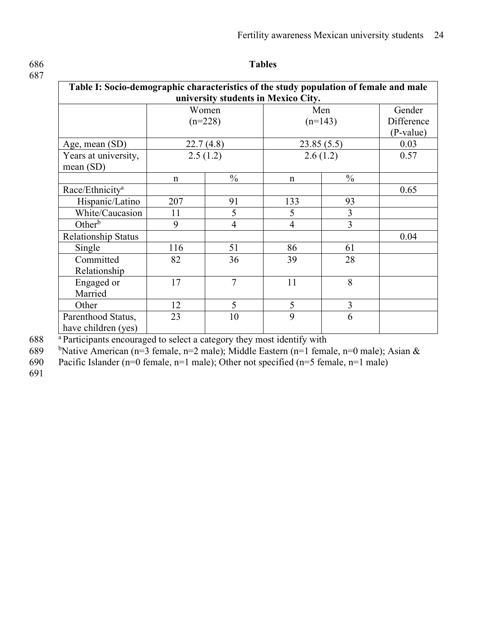#### **Table I: Socio-demographic characteristics of the study population of female and male university students in Mexico City.** Women  $(n=228)$ Men  $(n=143)$ Gender Difference (P-value) Age, mean (SD) 22.7 (4.8) 23.85 (5.5) 0.03 Years at university, mean (SD) 2.5 (1.2) 2.6 (1.2) 0.57 n 9% n 9% Race/Ethnicity<sup>a</sup> 0.65 Hispanic/Latino 207 91 133 93  $\begin{array}{c|c|c|c|c|c|c|c} \hline \text{White/Caucasion} & 11 & 5 & 5 & 3 \\ \hline \text{Other}^b & 9 & 4 & 4 & 3 \\ \hline \end{array}$ Other<sup>b</sup> 9 9 4 4 3 Relationship Status and the contract of the contract of the contract of the contract of the contract of the contract of the contract of the contract of the contract of the contract of the contract of the contract of the co Single 116 51 86 61 Committed Relationship 82 36 39 28 Engaged or Married<br>Other 17 | 7 | 11 | 8 Other 12 5 5 3

23 | 10 | 9 | 6

a 688 Participants encouraged to select a category they most identify with

689 b Native American (n=3 female, n=2 male); Middle Eastern (n=1 female, n=0 male); Asian &

690 Pacific Islander (n=0 female, n=1 male); Other not specified (n=5 female, n=1 male)

691

Parenthood Status, have children (yes)

## 686 **Tables**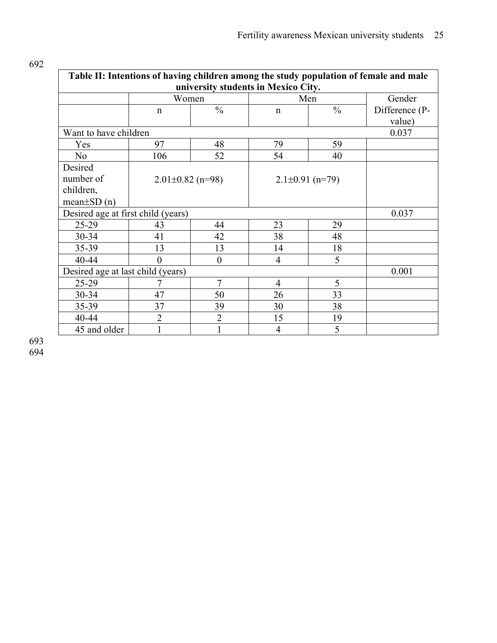| Table II: Intentions of having children among the study population of female and male<br>university students in Mexico City. |                |                        |                |                     |                |
|------------------------------------------------------------------------------------------------------------------------------|----------------|------------------------|----------------|---------------------|----------------|
|                                                                                                                              | Women          |                        | Men            |                     | Gender         |
|                                                                                                                              | n              | $\frac{0}{0}$          | $\mathbf n$    | $\frac{0}{0}$       | Difference (P- |
|                                                                                                                              |                |                        |                |                     | value)         |
| Want to have children                                                                                                        |                |                        |                |                     | 0.037          |
| Yes                                                                                                                          | 97             | 48                     | 79             | 59                  |                |
| N <sub>o</sub>                                                                                                               | 106            | 52                     | 54             | 40                  |                |
| Desired                                                                                                                      |                |                        |                |                     |                |
| number of                                                                                                                    |                | $2.01 \pm 0.82$ (n=98) |                | $2.1\pm0.91$ (n=79) |                |
| children,                                                                                                                    |                |                        |                |                     |                |
| $mean \pm SD(n)$                                                                                                             |                |                        |                |                     |                |
| Desired age at first child (years)                                                                                           |                |                        |                |                     | 0.037          |
| 25-29                                                                                                                        | 43             | 44                     | 23             | 29                  |                |
| $30 - 34$                                                                                                                    | 41             | 42                     | 38             | 48                  |                |
| 35-39                                                                                                                        | 13             | 13                     | 14             | 18                  |                |
| 40-44                                                                                                                        | $\Omega$       | $\theta$               | $\overline{4}$ | 5                   |                |
| Desired age at last child (years)                                                                                            |                |                        |                |                     | 0.001          |
| $25-29$                                                                                                                      |                | $\overline{7}$         | $\overline{4}$ | 5                   |                |
| $30 - 34$                                                                                                                    | 47             | 50                     | 26             | 33                  |                |
| 35-39                                                                                                                        | 37             | 39                     | 30             | 38                  |                |
| 40-44                                                                                                                        | $\overline{2}$ | $\overline{2}$         | 15             | 19                  |                |
| 45 and older                                                                                                                 |                |                        | $\overline{4}$ | 5                   |                |

693 694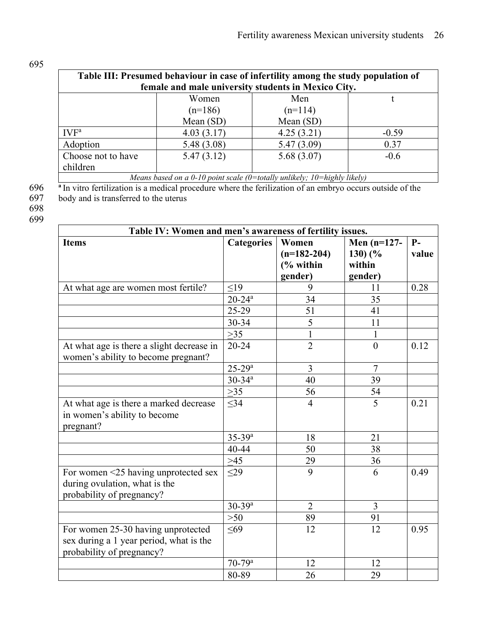| v.<br>۰.<br>c<br>۰.<br>٧<br>×<br>× |
|------------------------------------|
|------------------------------------|

| Table III: Presumed behaviour in case of infertility among the study population of |            |                                                                                                                                                                                                                                        |  |  |  |
|------------------------------------------------------------------------------------|------------|----------------------------------------------------------------------------------------------------------------------------------------------------------------------------------------------------------------------------------------|--|--|--|
| female and male university students in Mexico City.                                |            |                                                                                                                                                                                                                                        |  |  |  |
| Women                                                                              | Men        |                                                                                                                                                                                                                                        |  |  |  |
| $(n=186)$                                                                          | $(n=114)$  |                                                                                                                                                                                                                                        |  |  |  |
| Mean $(SD)$                                                                        | Mean (SD)  |                                                                                                                                                                                                                                        |  |  |  |
| 4.03(3.17)                                                                         | 4.25(3.21) | $-0.59$                                                                                                                                                                                                                                |  |  |  |
| 5.48 (3.08)                                                                        | 5.47(3.09) | 0.37                                                                                                                                                                                                                                   |  |  |  |
| 5.47(3.12)                                                                         | 5.68(3.07) | $-0.6$                                                                                                                                                                                                                                 |  |  |  |
|                                                                                    |            |                                                                                                                                                                                                                                        |  |  |  |
| Means based on a 0-10 point scale (0=totally unlikely; $10 =$ highly likely)       |            |                                                                                                                                                                                                                                        |  |  |  |
|                                                                                    |            | $\mathbf{a} \mathbf{r}$ , and the contract of the contract of the contract of the contract of the contract of the contract of the contract of the contract of the contract of the contract of the contract of the contract of the cont |  |  |  |

**<sup>a</sup>** 696 In vitro fertilization is a medical procedure where the ferilization of an embryo occurs outside of the 697 body and is transferred to the uterus

696<br>697<br>698

699

| Table IV: Women and men's awareness of fertility issues.                                                   |                        |                                |                |       |  |
|------------------------------------------------------------------------------------------------------------|------------------------|--------------------------------|----------------|-------|--|
| <b>Items</b>                                                                                               | <b>Categories</b>      | Women<br>Men $(n=127-$<br>$P-$ |                |       |  |
|                                                                                                            |                        | $(n=182-204)$                  | 130)(%         | value |  |
|                                                                                                            |                        | $\frac{6}{6}$ within           | within         |       |  |
|                                                                                                            |                        | gender)                        | gender)        |       |  |
| At what age are women most fertile?                                                                        | $\leq$ 19              | 9                              | 11             | 0.28  |  |
|                                                                                                            | $20 - 24$ <sup>a</sup> | 34                             | 35             |       |  |
|                                                                                                            | 25-29                  | 51                             | 41             |       |  |
|                                                                                                            | 30-34                  | 5                              | 11             |       |  |
|                                                                                                            | $>35$                  | $\mathbf{1}$                   | 1              |       |  |
| At what age is there a slight decrease in<br>women's ability to become pregnant?                           | $20 - 24$              | $\overline{2}$                 | $\theta$       | 0.12  |  |
|                                                                                                            | $25 - 29^a$            | 3                              | $\overline{7}$ |       |  |
|                                                                                                            | $30 - 34$ <sup>a</sup> | 40                             | 39             |       |  |
|                                                                                                            | $>35$                  | 56                             | 54             |       |  |
| At what age is there a marked decrease<br>in women's ability to become<br>pregnant?                        | $\leq$ 34              | $\overline{4}$                 | 5              | 0.21  |  |
|                                                                                                            | $35-39^a$              | 18                             | 21             |       |  |
|                                                                                                            | 40-44                  | 50                             | 38             |       |  |
|                                                                                                            | $>45$                  | 29                             | 36             |       |  |
| For women <25 having unprotected sex<br>during ovulation, what is the<br>probability of pregnancy?         | $\leq$ 29              | 9                              | 6              | 0.49  |  |
|                                                                                                            | $30 - 39^a$            | $\overline{2}$                 | $\overline{3}$ |       |  |
|                                                                                                            | $>50$                  | 89                             | 91             |       |  |
| For women 25-30 having unprotected<br>sex during a 1 year period, what is the<br>probability of pregnancy? | $\leq 69$              | 12                             | 12             | 0.95  |  |
|                                                                                                            | $70 - 79$ <sup>a</sup> | 12                             | 12             |       |  |
|                                                                                                            | 80-89                  | 26                             | 29             |       |  |